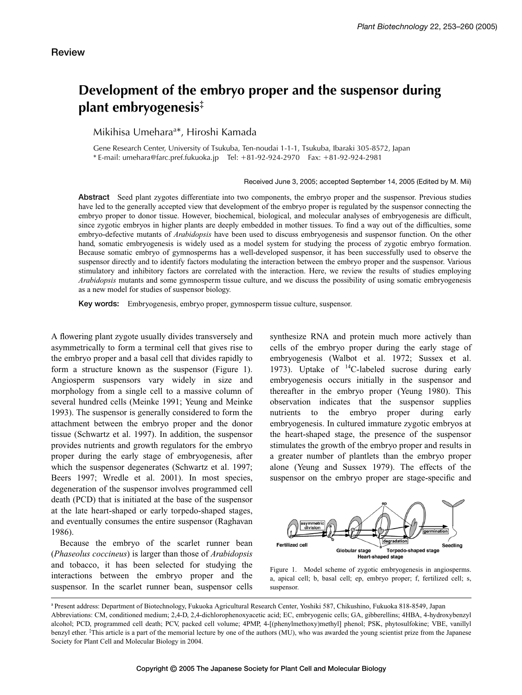# **Development of the embryo proper and the suspensor during plant embryogenesis‡**

Mikihisa Umehara<sup>a\*</sup>, Hiroshi Kamada

Gene Research Center, University of Tsukuba, Ten-noudai 1-1-1, Tsukuba, Ibaraki 305-8572, Japan  $*$  E-mail: umehara@farc.pref.fukuoka.jp Tel:  $+81-92-924-2970$  Fax:  $+81-92-924-2981$ 

#### Received June 3, 2005; accepted September 14, 2005 (Edited by M. Mii)

**Abstract** Seed plant zygotes differentiate into two components, the embryo proper and the suspensor. Previous studies have led to the generally accepted view that development of the embryo proper is regulated by the suspensor connecting the embryo proper to donor tissue. However, biochemical, biological, and molecular analyses of embryogenesis are difficult, since zygotic embryos in higher plants are deeply embedded in mother tissues. To find a way out of the difficulties, some embryo-defective mutants of *Arabidopsis* have been used to discuss embryogenesis and suspensor function. On the other hand, somatic embryogenesis is widely used as a model system for studying the process of zygotic embryo formation. Because somatic embryo of gymnosperms has a well-developed suspensor, it has been successfully used to observe the suspensor directly and to identify factors modulating the interaction between the embryo proper and the suspensor. Various stimulatory and inhibitory factors are correlated with the interaction. Here, we review the results of studies employing *Arabidopsis* mutants and some gymnosperm tissue culture, and we discuss the possibility of using somatic embryogenesis as a new model for studies of suspensor biology.

**Key words:** Embryogenesis, embryo proper, gymnosperm tissue culture, suspensor.

A flowering plant zygote usually divides transversely and asymmetrically to form a terminal cell that gives rise to the embryo proper and a basal cell that divides rapidly to form a structure known as the suspensor (Figure 1). Angiosperm suspensors vary widely in size and morphology from a single cell to a massive column of several hundred cells (Meinke 1991; Yeung and Meinke 1993). The suspensor is generally considered to form the attachment between the embryo proper and the donor tissue (Schwartz et al. 1997). In addition, the suspensor provides nutrients and growth regulators for the embryo proper during the early stage of embryogenesis, after which the suspensor degenerates (Schwartz et al. 1997; Beers 1997; Wredle et al. 2001). In most species, degeneration of the suspensor involves programmed cell death (PCD) that is initiated at the base of the suspensor at the late heart-shaped or early torpedo-shaped stages, and eventually consumes the entire suspensor (Raghavan 1986).

Because the embryo of the scarlet runner bean (*Phaseolus coccineus*) is larger than those of *Arabidopsis* and tobacco, it has been selected for studying the interactions between the embryo proper and the suspensor. In the scarlet runner bean, suspensor cells synthesize RNA and protein much more actively than cells of the embryo proper during the early stage of embryogenesis (Walbot et al. 1972; Sussex et al. 1973). Uptake of <sup>14</sup>C-labeled sucrose during early embryogenesis occurs initially in the suspensor and thereafter in the embryo proper (Yeung 1980). This observation indicates that the suspensor supplies nutrients to the embryo proper during early embryogenesis. In cultured immature zygotic embryos at the heart-shaped stage, the presence of the suspensor stimulates the growth of the embryo proper and results in a greater number of plantlets than the embryo proper alone (Yeung and Sussex 1979). The effects of the suspensor on the embryo proper are stage-specific and



Figure 1. Model scheme of zygotic embryogenesis in angiosperms. a, apical cell; b, basal cell; ep, embryo proper; f, fertilized cell; s, suspensor.

<sup>a</sup> Present address: Department of Biotechnology, Fukuoka Agricultural Research Center, Yoshiki 587, Chikushino, Fukuoka 818-8549, Japan Abbreviations: CM, conditioned medium; 2,4-D, 2,4-dichlorophenoxyacetic acid; EC, embryogenic cells; GA, gibberellins; 4HBA, 4-hydroxybenzyl alcohol; PCD, programmed cell death; PCV, packed cell volume; 4PMP, 4-[(phenylmethoxy)methyl] phenol; PSK, phytosulfokine; VBE, vanillyl benzyl ether.  ${}^{1}$ This article is a part of the memorial lecture by one of the authors (MU), who was awarded the young scientist prize from the Japanese Society for Plant Cell and Molecular Biology in 2004.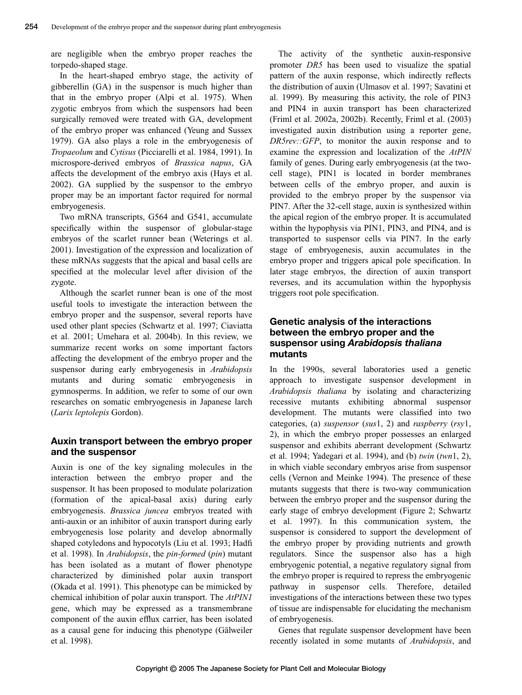are negligible when the embryo proper reaches the torpedo-shaped stage.

In the heart-shaped embryo stage, the activity of gibberellin (GA) in the suspensor is much higher than that in the embryo proper (Alpi et al. 1975). When zygotic embryos from which the suspensors had been surgically removed were treated with GA, development of the embryo proper was enhanced (Yeung and Sussex 1979). GA also plays a role in the embryogenesis of *Tropaeolum* and *Cytisus* (Picciarelli et al. 1984, 1991). In microspore-derived embryos of *Brassica napus*, GA affects the development of the embryo axis (Hays et al. 2002). GA supplied by the suspensor to the embryo proper may be an important factor required for normal embryogenesis.

Two mRNA transcripts, G564 and G541, accumulate specifically within the suspensor of globular-stage embryos of the scarlet runner bean (Weterings et al. 2001). Investigation of the expression and localization of these mRNAs suggests that the apical and basal cells are specified at the molecular level after division of the zygote.

Although the scarlet runner bean is one of the most useful tools to investigate the interaction between the embryo proper and the suspensor, several reports have used other plant species (Schwartz et al. 1997; Ciaviatta et al. 2001; Umehara et al. 2004b). In this review, we summarize recent works on some important factors affecting the development of the embryo proper and the suspensor during early embryogenesis in *Arabidopsis* mutants and during somatic embryogenesis in gymnosperms. In addition, we refer to some of our own researches on somatic embryogenesis in Japanese larch (*Larix leptolepis* Gordon).

#### **Auxin transport between the embryo proper and the suspensor**

Auxin is one of the key signaling molecules in the interaction between the embryo proper and the suspensor. It has been proposed to modulate polarization (formation of the apical-basal axis) during early embryogenesis. *Brassica juncea* embryos treated with anti-auxin or an inhibitor of auxin transport during early embryogenesis lose polarity and develop abnormally shaped cotyledons and hypocotyls (Liu et al. 1993; Hadfi et al. 1998). In *Arabidopsis*, the *pin-formed* (*pin*) mutant has been isolated as a mutant of flower phenotype characterized by diminished polar auxin transport (Okada et al. 1991). This phenotype can be mimicked by chemical inhibition of polar auxin transport. The *AtPIN1* gene, which may be expressed as a transmembrane component of the auxin efflux carrier, has been isolated as a causal gene for inducing this phenotype (Gälweiler et al. 1998).

The activity of the synthetic auxin-responsive promoter *DR5* has been used to visualize the spatial pattern of the auxin response, which indirectly reflects the distribution of auxin (Ulmasov et al. 1997; Savatini et al. 1999). By measuring this activity, the role of PIN3 and PIN4 in auxin transport has been characterized (Friml et al. 2002a, 2002b). Recently, Friml et al. (2003) investigated auxin distribution using a reporter gene, *DR5rev::GFP*, to monitor the auxin response and to examine the expression and localization of the *AtPIN* family of genes. During early embryogenesis (at the twocell stage), PIN1 is located in border membranes between cells of the embryo proper, and auxin is provided to the embryo proper by the suspensor via PIN7. After the 32-cell stage, auxin is synthesized within the apical region of the embryo proper. It is accumulated within the hypophysis via PIN1, PIN3, and PIN4, and is transported to suspensor cells via PIN7. In the early stage of embryogenesis, auxin accumulates in the embryo proper and triggers apical pole specification. In later stage embryos, the direction of auxin transport reverses, and its accumulation within the hypophysis triggers root pole specification.

# **Genetic analysis of the interactions between the embryo proper and the suspensor using** *Arabidopsis thaliana* **mutants**

In the 1990s, several laboratories used a genetic approach to investigate suspensor development in *Arabidopsis thaliana* by isolating and characterizing recessive mutants exhibiting abnormal suspensor development. The mutants were classified into two categories, (a) *suspensor* (*sus*1, 2) and *raspberry* (*rsy*1, 2), in which the embryo proper possesses an enlarged suspensor and exhibits aberrant development (Schwartz et al. 1994; Yadegari et al. 1994), and (b) *twin* (*twn*1, 2), in which viable secondary embryos arise from suspensor cells (Vernon and Meinke 1994). The presence of these mutants suggests that there is two-way communication between the embryo proper and the suspensor during the early stage of embryo development (Figure 2; Schwartz et al. 1997). In this communication system, the suspensor is considered to support the development of the embryo proper by providing nutrients and growth regulators. Since the suspensor also has a high embryogenic potential, a negative regulatory signal from the embryo proper is required to repress the embryogenic pathway in suspensor cells. Therefore, detailed investigations of the interactions between these two types of tissue are indispensable for elucidating the mechanism of embryogenesis.

Genes that regulate suspensor development have been recently isolated in some mutants of *Arabidopsis*, and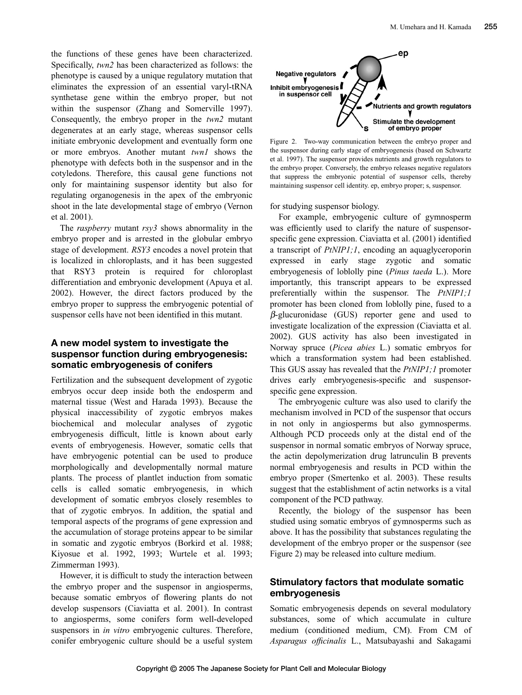the functions of these genes have been characterized. Specifically, *twn2* has been characterized as follows: the phenotype is caused by a unique regulatory mutation that eliminates the expression of an essential varyl-tRNA synthetase gene within the embryo proper, but not within the suspensor (Zhang and Somerville 1997). Consequently, the embryo proper in the *twn2* mutant degenerates at an early stage, whereas suspensor cells initiate embryonic development and eventually form one or more embryos. Another mutant *twn1* shows the phenotype with defects both in the suspensor and in the cotyledons. Therefore, this causal gene functions not only for maintaining suspensor identity but also for regulating organogenesis in the apex of the embryonic shoot in the late developmental stage of embryo (Vernon et al. 2001).

The *raspberry* mutant *rsy3* shows abnormality in the embryo proper and is arrested in the globular embryo stage of development. *RSY3* encodes a novel protein that is localized in chloroplasts, and it has been suggested that RSY3 protein is required for chloroplast differentiation and embryonic development (Apuya et al. 2002). However, the direct factors produced by the embryo proper to suppress the embryogenic potential of suspensor cells have not been identified in this mutant.

### **A new model system to investigate the suspensor function during embryogenesis: somatic embryogenesis of conifers**

Fertilization and the subsequent development of zygotic embryos occur deep inside both the endosperm and maternal tissue (West and Harada 1993). Because the physical inaccessibility of zygotic embryos makes biochemical and molecular analyses of zygotic embryogenesis difficult, little is known about early events of embryogenesis. However, somatic cells that have embryogenic potential can be used to produce morphologically and developmentally normal mature plants. The process of plantlet induction from somatic cells is called somatic embryogenesis, in which development of somatic embryos closely resembles to that of zygotic embryos. In addition, the spatial and temporal aspects of the programs of gene expression and the accumulation of storage proteins appear to be similar in somatic and zygotic embryos (Borkird et al. 1988; Kiyosue et al. 1992, 1993; Wurtele et al. 1993; Zimmerman 1993).

However, it is difficult to study the interaction between the embryo proper and the suspensor in angiosperms, because somatic embryos of flowering plants do not develop suspensors (Ciaviatta et al. 2001). In contrast to angiosperms, some conifers form well-developed suspensors in *in vitro* embryogenic cultures. Therefore, conifer embryogenic culture should be a useful system



Figure 2. Two-way communication between the embryo proper and the suspensor during early stage of embryogenesis (based on Schwartz et al. 1997). The suspensor provides nutrients and growth regulators to the embryo proper. Conversely, the embryo releases negative regulators that suppress the embryonic potential of suspensor cells, thereby maintaining suspensor cell identity. ep, embryo proper; s, suspensor.

for studying suspensor biology.

For example, embryogenic culture of gymnosperm was efficiently used to clarify the nature of suspensorspecific gene expression. Ciaviatta et al. (2001) identified a transcript of *PtNIP1;1*, encoding an aquaglyceroporin expressed in early stage zygotic and somatic embryogenesis of loblolly pine (*Pinus taeda* L.). More importantly, this transcript appears to be expressed preferentially within the suspensor. The *PtNIP1;1* promoter has been cloned from loblolly pine, fused to a  $\beta$ -glucuronidase (GUS) reporter gene and used to investigate localization of the expression (Ciaviatta et al. 2002). GUS activity has also been investigated in Norway spruce (*Picea abies* L.) somatic embryos for which a transformation system had been established. This GUS assay has revealed that the *PtNIP1;1* promoter drives early embryogenesis-specific and suspensorspecific gene expression.

The embryogenic culture was also used to clarify the mechanism involved in PCD of the suspensor that occurs in not only in angiosperms but also gymnosperms. Although PCD proceeds only at the distal end of the suspensor in normal somatic embryos of Norway spruce, the actin depolymerization drug latrunculin B prevents normal embryogenesis and results in PCD within the embryo proper (Smertenko et al. 2003). These results suggest that the establishment of actin networks is a vital component of the PCD pathway.

Recently, the biology of the suspensor has been studied using somatic embryos of gymnosperms such as above. It has the possibility that substances regulating the development of the embryo proper or the suspensor (see Figure 2) may be released into culture medium.

# **Stimulatory factors that modulate somatic embryogenesis**

Somatic embryogenesis depends on several modulatory substances, some of which accumulate in culture medium (conditioned medium, CM). From CM of *Asparagus officinalis* L., Matsubayashi and Sakagami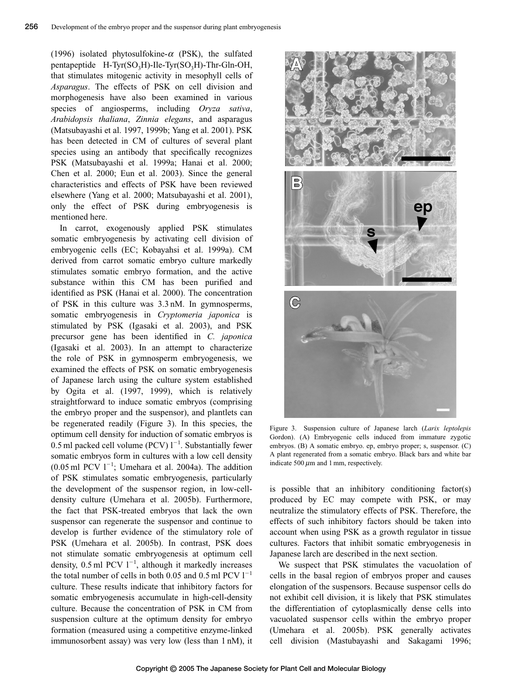(1996) isolated phytosulfokine- $\alpha$  (PSK), the sulfated pentapeptide  $H-Tyr(SO<sub>3</sub>H)$ -Ile-Tyr(SO<sub>3</sub>H)-Thr-Gln-OH, that stimulates mitogenic activity in mesophyll cells of *Asparagus*. The effects of PSK on cell division and morphogenesis have also been examined in various species of angiosperms, including *Oryza sativa*, *Arabidopsis thaliana*, *Zinnia elegans*, and asparagus (Matsubayashi et al. 1997, 1999b; Yang et al. 2001). PSK has been detected in CM of cultures of several plant species using an antibody that specifically recognizes PSK (Matsubayashi et al. 1999a; Hanai et al. 2000; Chen et al. 2000; Eun et al. 2003). Since the general characteristics and effects of PSK have been reviewed elsewhere (Yang et al. 2000; Matsubayashi et al. 2001), only the effect of PSK during embryogenesis is mentioned here.

In carrot, exogenously applied PSK stimulates somatic embryogenesis by activating cell division of embryogenic cells (EC; Kobayahsi et al. 1999a). CM derived from carrot somatic embryo culture markedly stimulates somatic embryo formation, and the active substance within this CM has been purified and identified as PSK (Hanai et al. 2000). The concentration of PSK in this culture was 3.3 nM. In gymnosperms, somatic embryogenesis in *Cryptomeria japonica* is stimulated by PSK (Igasaki et al. 2003), and PSK precursor gene has been identified in *C. japonica* (Igasaki et al. 2003). In an attempt to characterize the role of PSK in gymnosperm embryogenesis, we examined the effects of PSK on somatic embryogenesis of Japanese larch using the culture system established by Ogita et al. (1997, 1999), which is relatively straightforward to induce somatic embryos (comprising the embryo proper and the suspensor), and plantlets can be regenerated readily (Figure 3). In this species, the optimum cell density for induction of somatic embryos is 0.5 ml packed cell volume (PCV)  $1^{-1}$ . Substantially fewer somatic embryos form in cultures with a low cell density  $(0.05 \text{ ml } PCV 1^{-1}$ ; Umehara et al. 2004a). The addition of PSK stimulates somatic embryogenesis, particularly the development of the suspensor region, in low-celldensity culture (Umehara et al. 2005b). Furthermore, the fact that PSK-treated embryos that lack the own suspensor can regenerate the suspensor and continue to develop is further evidence of the stimulatory role of PSK (Umehara et al. 2005b). In contrast, PSK does not stimulate somatic embryogenesis at optimum cell density,  $0.5$  ml PCV  $1^{-1}$ , although it markedly increases the total number of cells in both 0.05 and 0.5 ml PCV  $1^{-1}$ culture. These results indicate that inhibitory factors for somatic embryogenesis accumulate in high-cell-density culture. Because the concentration of PSK in CM from suspension culture at the optimum density for embryo formation (measured using a competitive enzyme-linked immunosorbent assay) was very low (less than 1 nM), it



Figure 3. Suspension culture of Japanese larch (*Larix leptolepis* Gordon). (A) Embryogenic cells induced from immature zygotic embryos. (B) A somatic embryo. ep, embryo proper; s, suspensor. (C) A plant regenerated from a somatic embryo. Black bars and white bar indicate 500  $\mu$ m and 1 mm, respectively.

is possible that an inhibitory conditioning factor(s) produced by EC may compete with PSK, or may neutralize the stimulatory effects of PSK. Therefore, the effects of such inhibitory factors should be taken into account when using PSK as a growth regulator in tissue cultures. Factors that inhibit somatic embryogenesis in Japanese larch are described in the next section.

We suspect that PSK stimulates the vacuolation of cells in the basal region of embryos proper and causes elongation of the suspensors. Because suspensor cells do not exhibit cell division, it is likely that PSK stimulates the differentiation of cytoplasmically dense cells into vacuolated suspensor cells within the embryo proper (Umehara et al. 2005b). PSK generally activates cell division (Mastubayashi and Sakagami 1996;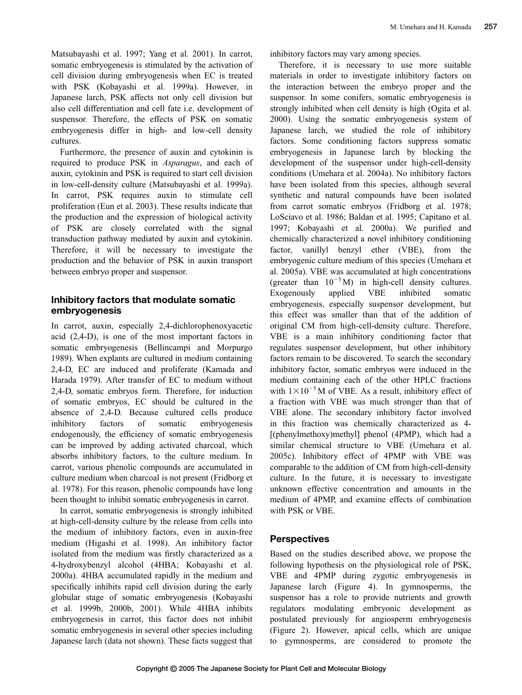Matsubayashi et al. 1997; Yang et al. 2001). In carrot, somatic embryogenesis is stimulated by the activation of cell division during embryogenesis when EC is treated with PSK (Kobayashi et al. 1999a). However, in Japanese larch, PSK affects not only cell division but also cell differentiation and cell fate i.e. development of suspensor. Therefore, the effects of PSK on somatic embryogenesis differ in high- and low-cell density cultures.

Furthermore, the presence of auxin and cytokinin is required to produce PSK in *Asparagus*, and each of auxin, cytokinin and PSK is required to start cell division in low-cell-density culture (Matsubayashi et al. 1999a). In carrot, PSK requires auxin to stimulate cell proliferation (Eun et al. 2003). These results indicate that the production and the expression of biological activity of PSK are closely correlated with the signal transduction pathway mediated by auxin and cytokinin. Therefore, it will be necessary to investigate the production and the behavior of PSK in auxin transport between embryo proper and suspensor.

# **Inhibitory factors that modulate somatic embryogenesis**

In carrot, auxin, especially 2,4-dichlorophenoxyacetic acid (2,4-D), is one of the most important factors in somatic embryogenesis (Bellincampi and Morpurgo 1989). When explants are cultured in medium containing 2,4-D, EC are induced and proliferate (Kamada and Harada 1979). After transfer of EC to medium without 2,4-D, somatic embryos form. Therefore, for induction of somatic embryos, EC should be cultured in the absence of 2,4-D. Because cultured cells produce inhibitory factors of somatic embryogenesis endogenously, the efficiency of somatic embryogenesis can be improved by adding activated charcoal, which absorbs inhibitory factors, to the culture medium. In carrot, various phenolic compounds are accumulated in culture medium when charcoal is not present (Fridborg et al. 1978). For this reason, phenolic compounds have long been thought to inhibit somatic embryogenesis in carrot.

In carrot, somatic embryogenesis is strongly inhibited at high-cell-density culture by the release from cells into the medium of inhibitory factors, even in auxin-free medium (Higashi et al. 1998). An inhibitory factor isolated from the medium was firstly characterized as a 4-hydroxybenzyl alcohol (4HBA; Kobayashi et al. 2000a). 4HBA accumulated rapidly in the medium and specifically inhibits rapid cell division during the early globular stage of somatic embryogenesis (Kobayashi et al. 1999b, 2000b, 2001). While 4HBA inhibits embryogenesis in carrot, this factor does not inhibit somatic embryogenesis in several other species including Japanese larch (data not shown). These facts suggest that inhibitory factors may vary among species.

Therefore, it is necessary to use more suitable materials in order to investigate inhibitory factors on the interaction between the embryo proper and the suspensor. In some conifers, somatic embryogenesis is strongly inhibited when cell density is high (Ogita et al. 2000). Using the somatic embryogenesis system of Japanese larch, we studied the role of inhibitory factors. Some conditioning factors suppress somatic embryogenesis in Japanese larch by blocking the development of the suspensor under high-cell-density conditions (Umehara et al. 2004a). No inhibitory factors have been isolated from this species, although several synthetic and natural compounds have been isolated from carrot somatic embryos (Fridborg et al. 1978; LoSciavo et al. 1986; Baldan et al. 1995; Capitano et al. 1997; Kobayashi et al. 2000a). We purified and chemically characterized a novel inhibitory conditioning factor, vanillyl benzyl ether (VBE), from the embryogenic culture medium of this species (Umehara et al. 2005a). VBE was accumulated at high concentrations (greater than  $10^{-5}$  M) in high-cell density cultures. Exogenously applied VBE inhibited somatic embryogenesis, especially suspensor development, but this effect was smaller than that of the addition of original CM from high-cell-density culture. Therefore, VBE is a main inhibitory conditioning factor that regulates suspensor development, but other inhibitory factors remain to be discovered. To search the secondary inhibitory factor, somatic embryos were induced in the medium containing each of the other HPLC fractions with  $1 \times 10^{-5}$  M of VBE. As a result, inhibitory effect of a fraction with VBE was much stronger than that of VBE alone. The secondary inhibitory factor involved in this fraction was chemically characterized as 4- [(phenylmethoxy)methyl] phenol (4PMP), which had a similar chemical structure to VBE (Umehara et al. 2005c). Inhibitory effect of 4PMP with VBE was comparable to the addition of CM from high-cell-density culture. In the future, it is necessary to investigate unknown effective concentration and amounts in the medium of 4PMP, and examine effects of combination with PSK or VBE.

#### **Perspectives**

Based on the studies described above, we propose the following hypothesis on the physiological role of PSK, VBE and 4PMP during zygotic embryogenesis in Japanese larch (Figure 4). In gymnosperms, the suspensor has a role to provide nutrients and growth regulators modulating embryonic development as postulated previously for angiosperm embryogenesis (Figure 2). However, apical cells, which are unique to gymnosperms, are considered to promote the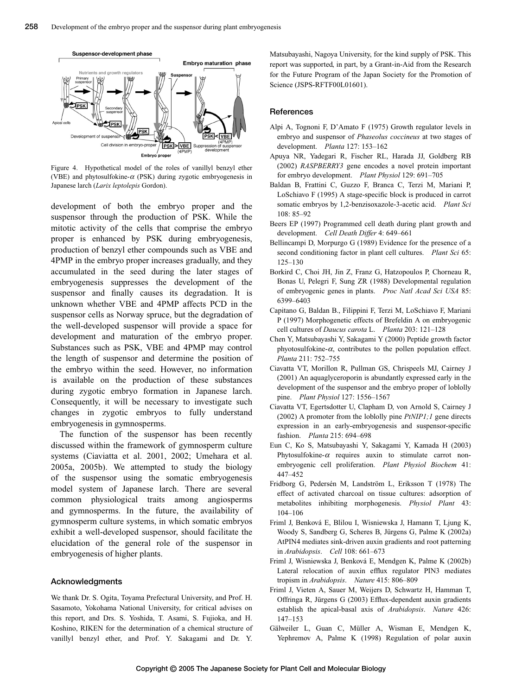

Figure 4. Hypothetical model of the roles of vanillyl benzyl ether (VBE) and phytosulfokine- $\alpha$  (PSK) during zygotic embryogenesis in Japanese larch (*Larix leptolepis* Gordon).

development of both the embryo proper and the suspensor through the production of PSK. While the mitotic activity of the cells that comprise the embryo proper is enhanced by PSK during embryogenesis, production of benzyl ether compounds such as VBE and 4PMP in the embryo proper increases gradually, and they accumulated in the seed during the later stages of embryogenesis suppresses the development of the suspensor and finally causes its degradation. It is unknown whether VBE and 4PMP affects PCD in the suspensor cells as Norway spruce, but the degradation of the well-developed suspensor will provide a space for development and maturation of the embryo proper. Substances such as PSK, VBE and 4PMP may control the length of suspensor and determine the position of the embryo within the seed. However, no information is available on the production of these substances during zygotic embryo formation in Japanese larch. Consequently, it will be necessary to investigate such changes in zygotic embryos to fully understand embryogenesis in gymnosperms.

The function of the suspensor has been recently discussed within the framework of gymnosperm culture systems (Ciaviatta et al. 2001, 2002; Umehara et al. 2005a, 2005b). We attempted to study the biology of the suspensor using the somatic embryogenesis model system of Japanese larch. There are several common physiological traits among angiosperms and gymnosperms. In the future, the availability of gymnosperm culture systems, in which somatic embryos exhibit a well-developed suspensor, should facilitate the elucidation of the general role of the suspensor in embryogenesis of higher plants.

#### **Acknowledgments**

We thank Dr. S. Ogita, Toyama Prefectural University, and Prof. H. Sasamoto, Yokohama National University, for critical advises on this report, and Drs. S. Yoshida, T. Asami, S. Fujioka, and H. Koshino, RIKEN for the determination of a chemical structure of vanillyl benzyl ether, and Prof. Y. Sakagami and Dr. Y.

Matsubayashi, Nagoya University, for the kind supply of PSK. This report was supported, in part, by a Grant-in-Aid from the Research for the Future Program of the Japan Society for the Promotion of Science (JSPS-RFTF00L01601).

#### **References**

- Alpi A, Tognoni F, D'Amato F (1975) Growth regulator levels in embryo and suspensor of *Phaseolus coccineus* at two stages of development. *Planta* 127: 153–162
- Apuya NR, Yadegari R, Fischer RL, Harada JJ, Goldberg RB (2002) *RASPBERRY3* gene encodes a novel protein important for embryo development. *Plant Physiol* 129: 691–705
- Baldan B, Frattini C, Guzzo F, Branca C, Terzi M, Mariani P, LoSchiavo F (1995) A stage-specific block is produced in carrot somatic embryos by 1,2-benzisoxazole-3-acetic acid. *Plant Sci* 108: 85–92
- Beers EP (1997) Programmed cell death during plant growth and development. *Cell Death Differ* 4: 649–661
- Bellincampi D, Morpurgo G (1989) Evidence for the presence of a second conditioning factor in plant cell cultures. *Plant Sci* 65: 125–130
- Borkird C, Choi JH, Jin Z, Franz G, Hatzopoulos P, Chorneau R, Bonas U, Pelegri F, Sung ZR (1988) Developmental regulation of embryogenic genes in plants. *Proc Natl Acad Sci USA* 85: 6399–6403
- Capitano G, Baldan B., Filippini F, Terzi M, LoSchiavo F, Mariani P (1997) Morphogenetic effects of Brefeldin A on embryogenic cell cultures of *Daucus carota* L. *Planta* 203: 121–128
- Chen Y, Matsubayashi Y, Sakagami Y (2000) Peptide growth factor phyotosulfokine- $\alpha$ , contributes to the pollen population effect. *Planta* 211: 752–755
- Ciavatta VT, Morillon R, Pullman GS, Chrispeels MJ, Cairney J (2001) An aquaglyceroporin is abundantly expressed early in the development of the suspensor and the embryo proper of loblolly pine. *Plant Physiol* 127: 1556–1567
- Ciavatta VT, Egertsdotter U, Clapham D, von Arnold S, Cairney J (2002) A promoter from the loblolly pine *PtNIP1;1* gene directs expression in an early-embryogenesis and suspensor-specific fashion. *Planta* 215: 694–698
- Eun C, Ko S, Matsubayashi Y, Sakagami Y, Kamada H (2003) Phytosulfokine- $\alpha$  requires auxin to stimulate carrot nonembryogenic cell proliferation. *Plant Physiol Biochem* 41: 447–452
- Fridborg G, Pedersén M, Landström L, Eriksson T (1978) The effect of activated charcoal on tissue cultures: adsorption of metabolites inhibiting morphogenesis. *Physiol Plant* 43: 104–106
- Friml J, Benková E, Blilou I, Wisniewska J, Hamann T, Ljung K, Woody S, Sandberg G, Scheres B, Jürgens G, Palme K (2002a) AtPIN4 mediates sink-driven auxin gradients and root patterning in *Arabidopsis*. *Cell* 108: 661–673
- Friml J, Wisniewska J, Benková E, Mendgen K, Palme K (2002b) Lateral relocation of auxin efflux regulator PIN3 mediates tropism in *Arabidopsis*. *Nature* 415: 806–809
- Friml J, Vieten A, Sauer M, Weijers D, Schwartz H, Hamman T, Offringa R, Jürgens G (2003) Efflux-dependent auxin gradients establish the apical-basal axis of *Arabidopsis*. *Nature* 426: 147–153
- Gälweiler L, Guan C, Müller A, Wisman E, Mendgen K, Yephremov A, Palme K (1998) Regulation of polar auxin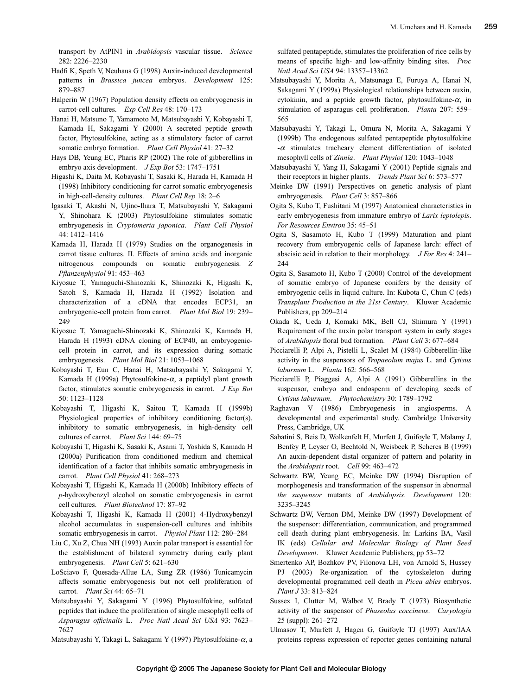transport by AtPIN1 in *Arabidopsis* vascular tissue. *Science* 282: 2226–2230

- Hadfi K, Speth V, Neuhaus G (1998) Auxin-induced developmental patterns in *Brassica juncea* embryos. *Development* 125: 879–887
- Halperin W (1967) Population density effects on embryogenesis in carrot-cell cultures. *Exp Cell Res* 48: 170–173
- Hanai H, Matsuno T, Yamamoto M, Matsubayashi Y, Kobayashi T, Kamada H, Sakagami Y (2000) A secreted peptide growth factor, Phytosulfokine, acting as a stimulatory factor of carrot somatic embryo formation. *Plant Cell Physiol* 41: 27–32
- Hays DB, Yeung EC, Pharis RP (2002) The role of gibberellins in embryo axis development. *J Exp Bot* 53: 1747–1751
- Higashi K, Daita M, Kobayashi T, Sasaki K, Harada H, Kamada H (1998) Inhibitory conditioning for carrot somatic embryogenesis in high-cell-density cultures. *Plant Cell Rep* 18: 2–6
- Igasaki T, Akashi N, Ujino-Ihara T, Matsubayashi Y, Sakagami Y, Shinohara K (2003) Phytosulfokine stimulates somatic embryogenesis in *Cryptomeria japonica*. *Plant Cell Physiol* 44: 1412–1416
- Kamada H, Harada H (1979) Studies on the organogenesis in carrot tissue cultures. II. Effects of amino acids and inorganic nitrogenous compounds on somatic embryogenesis. *Z Pflanzenphysiol* 91: 453–463
- Kiyosue T, Yamaguchi-Shinozaki K, Shinozaki K, Higashi K, Satoh S, Kamada H, Harada H (1992) Isolation and characterization of a cDNA that encodes ECP31, an embryogenic-cell protein from carrot. *Plant Mol Biol* 19: 239– 249
- Kiyosue T, Yamaguchi-Shinozaki K, Shinozaki K, Kamada H, Harada H (1993) cDNA cloning of ECP40, an embryogeniccell protein in carrot, and its expression during somatic embryogenesis. *Plant Mol Biol* 21: 1053–1068
- Kobayashi T, Eun C, Hanai H, Matsubayashi Y, Sakagami Y, Kamada H (1999a) Phytosulfokine- $\alpha$ , a peptidyl plant growth factor, stimulates somatic embryogenesis in carrot. *J Exp Bot* 50: 1123–1128
- Kobayashi T, Higashi K, Saitou T, Kamada H (1999b) Physiological properties of inhibitory conditioning factor(s), inhibitory to somatic embryogenesis, in high-density cell cultures of carrot. *Plant Sci* 144: 69–75
- Kobayashi T, Higashi K, Sasaki K, Asami T, Yoshida S, Kamada H (2000a) Purification from conditioned medium and chemical identification of a factor that inhibits somatic embryogenesis in carrot. *Plant Cell Physiol* 41: 268–273
- Kobayashi T, Higashi K, Kamada H (2000b) Inhibitory effects of *p*-hydroxybenzyl alcohol on somatic embryogenesis in carrot cell cultures. *Plant Biotechnol* 17: 87–92
- Kobayashi T, Higashi K, Kamada H (2001) 4-Hydroxybenzyl alcohol accumulates in suspension-cell cultures and inhibits somatic embryogenesis in carrot. *Physiol Plant* 112: 280–284
- Liu C, Xu Z, Chua NH (1993) Auxin polar transport is essential for the establishment of bilateral symmetry during early plant embryogenesis. *Plant Cell* 5: 621–630
- LoSciavo F, Quesada-Allue LA, Sung ZR (1986) Tunicamycin affects somatic embryogenesis but not cell proliferation of carrot. *Plant Sci* 44: 65–71
- Matsubayashi Y, Sakagami Y (1996) Phytosulfokine, sulfated peptides that induce the proliferation of single mesophyll cells of *Asparagus officinalis* L. *Proc Natl Acad Sci USA* 93: 7623– 7627
- Matsubayashi Y, Takagi L, Sakagami Y (1997) Phytosulfokine- $\alpha$ , a

sulfated pentapeptide, stimulates the proliferation of rice cells by means of specific high- and low-affinity binding sites. *Proc Natl Acad Sci USA* 94: 13357–13362

- Matsubayashi Y, Morita A, Matsunaga E, Furuya A, Hanai N, Sakagami Y (1999a) Physiological relationships between auxin, cytokinin, and a peptide growth factor, phytosulfokine- $\alpha$ , in stimulation of asparagus cell proliferation. *Planta* 207: 559– 565
- Matsubayashi Y, Takagi L, Omura N, Morita A, Sakagami Y (1999b) The endogenous sulfated pentapeptide phytosulfokine  $-\alpha$  stimulates tracheary element differentiation of isolated mesophyll cells of *Zinnia*. *Plant Physiol* 120: 1043–1048
- Matsubayashi Y, Yang H, Sakagami Y (2001) Peptide signals and their receptors in higher plants. *Trends Plant Sci* 6: 573–577
- Meinke DW (1991) Perspectives on genetic analysis of plant embryogenesis. *Plant Cell* 3: 857–866
- Ogita S, Kubo T, Fushitani M (1997) Anatomical characteristics in early embryogenesis from immature embryo of *Larix leptolepis*. *For Resources Environ* 35: 45–51
- Ogita S, Sasamoto H, Kubo T (1999) Maturation and plant recovery from embryogenic cells of Japanese larch: effect of abscisic acid in relation to their morphology. *J For Res* 4: 241– 244
- Ogita S, Sasamoto H, Kubo T (2000) Control of the development of somatic embryo of Japanese conifers by the density of embryogenic cells in liquid culture. In: Kubota C, Chun C (eds) *Transplant Production in the 21st Century*. Kluwer Academic Publishers, pp 209–214
- Okada K, Ueda J, Komaki MK, Bell CJ, Shimura Y (1991) Requirement of the auxin polar transport system in early stages of *Arabidopsis* floral bud formation. *Plant Cell* 3: 677–684
- Picciarelli P, Alpi A, Pistelli L, Scalet M (1984) Gibberellin-like activity in the suspensors of *Tropaeolum majus* L. and *Cytisus laburnum* L. *Planta* 162: 566–568
- Picciarelli P, Piaggesi A, Alpi A (1991) Gibberellins in the suspensor, embryo and endosperm of developing seeds of *Cytisus laburnum*. *Phytochemistry* 30: 1789–1792
- Raghavan V (1986) Embryogenesis in angiosperms. A developmental and experimental study. Cambridge University Press, Cambridge, UK
- Sabatini S, Beis D, Wolkenfelt H, Murfett J, Guifoyle T, Malamy J, Benfey P, Leyser O, Bechtold N, Weisbeek P, Scheres B (1999) An auxin-dependent distal organizer of pattern and polarity in the *Arabidopsis* root. *Cell* 99: 463–472
- Schwartz BW, Yeung EC, Meinke DW (1994) Disruption of morphogenesis and transformation of the suspensor in abnormal *the suspensor* mutants of *Arabidopsis*. *Development* 120: 3235–3245
- Schwartz BW, Vernon DM, Meinke DW (1997) Development of the suspensor: differentiation, communication, and programmed cell death during plant embryogenesis. In: Larkins BA, Vasil IK (eds) *Cellular and Molecular Biology of Plant Seed Development*. Kluwer Academic Publishers, pp 53–72
- Smertenko AP, Bozhkov PV, Filonova LH, von Arnold S, Hussey PJ (2003) Re-organization of the cytoskeleton during developmental programmed cell death in *Picea abies* embryos. *Plant J* 33: 813–824
- Sussex I, Clutter M, Walbot V, Brady T (1973) Biosynthetic activity of the suspensor of *Phaseolus coccineus*. *Caryologia* 25 (suppl): 261–272
- Ulmasov T, Murfett J, Hagen G, Guifoyle TJ (1997) Aux/IAA proteins repress expression of reporter genes containing natural